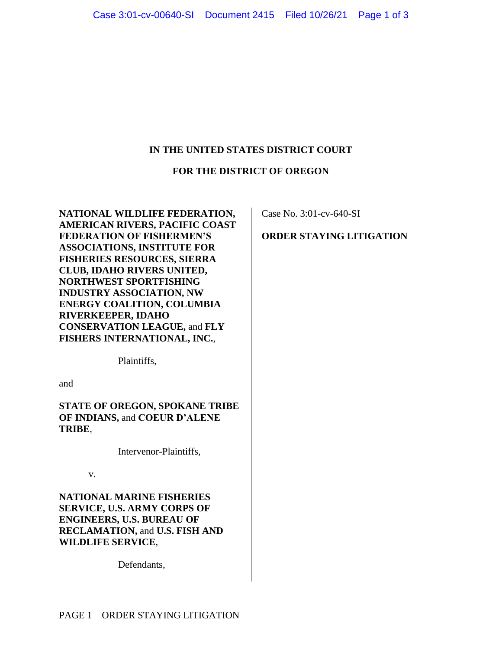# **IN THE UNITED STATES DISTRICT COURT**

## **FOR THE DISTRICT OF OREGON**

**NATIONAL WILDLIFE FEDERATION, AMERICAN RIVERS, PACIFIC COAST FEDERATION OF FISHERMEN'S ASSOCIATIONS, INSTITUTE FOR FISHERIES RESOURCES, SIERRA CLUB, IDAHO RIVERS UNITED, NORTHWEST SPORTFISHING INDUSTRY ASSOCIATION, NW ENERGY COALITION, COLUMBIA RIVERKEEPER, IDAHO CONSERVATION LEAGUE,** and **FLY FISHERS INTERNATIONAL, INC.**,

Plaintiffs,

and

**STATE OF OREGON, SPOKANE TRIBE OF INDIANS,** and **COEUR D'ALENE TRIBE**,

Intervenor-Plaintiffs,

v.

**NATIONAL MARINE FISHERIES SERVICE, U.S. ARMY CORPS OF ENGINEERS, U.S. BUREAU OF RECLAMATION,** and **U.S. FISH AND WILDLIFE SERVICE**,

Defendants,

Case No. 3:01-cv-640-SI

# **ORDER STAYING LITIGATION**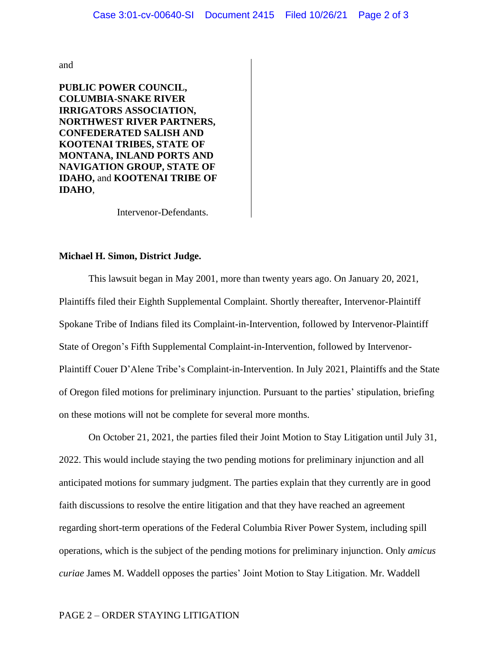and

**PUBLIC POWER COUNCIL, COLUMBIA-SNAKE RIVER IRRIGATORS ASSOCIATION, NORTHWEST RIVER PARTNERS, CONFEDERATED SALISH AND KOOTENAI TRIBES, STATE OF MONTANA, INLAND PORTS AND NAVIGATION GROUP, STATE OF IDAHO,** and **KOOTENAI TRIBE OF IDAHO**,

Intervenor-Defendants.

#### **Michael H. Simon, District Judge.**

This lawsuit began in May 2001, more than twenty years ago. On January 20, 2021, Plaintiffs filed their Eighth Supplemental Complaint. Shortly thereafter, Intervenor-Plaintiff Spokane Tribe of Indians filed its Complaint-in-Intervention, followed by Intervenor-Plaintiff State of Oregon's Fifth Supplemental Complaint-in-Intervention, followed by Intervenor-Plaintiff Couer D'Alene Tribe's Complaint-in-Intervention. In July 2021, Plaintiffs and the State of Oregon filed motions for preliminary injunction. Pursuant to the parties' stipulation, briefing on these motions will not be complete for several more months.

On October 21, 2021, the parties filed their Joint Motion to Stay Litigation until July 31, 2022. This would include staying the two pending motions for preliminary injunction and all anticipated motions for summary judgment. The parties explain that they currently are in good faith discussions to resolve the entire litigation and that they have reached an agreement regarding short-term operations of the Federal Columbia River Power System, including spill operations, which is the subject of the pending motions for preliminary injunction. Only *amicus curiae* James M. Waddell opposes the parties' Joint Motion to Stay Litigation. Mr. Waddell